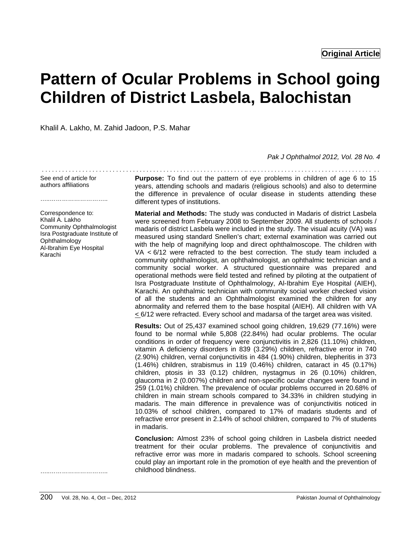# **Pattern of Ocular Problems in School going Children of District Lasbela, Balochistan**

Khalil A. Lakho, M. Zahid Jadoon, P.S. Mahar

*Pak J Ophthalmol 2012, Vol. 28 No. 4* 

See end of article for authors affiliations

………………………………………

**Purpose:** To find out the pattern of eye problems in children of age 6 to 15 years, attending schools and madaris (religious schools) and also to determine the difference in prevalence of ocular disease in students attending these different types of institutions.

. . . . . . . . . . . . . . . . . . . . . . . . . . . . . . . . . . . . . . . . . . . . . . . . . . . . . . . . . . . . .. . .. . . . . . . . . . . . . . . . . . . . . . . . . . . . . . . . . . . . .

**Material and Methods:** The study was conducted in Madaris of district Lasbela were screened from February 2008 to September 2009. All students of schools / madaris of district Lasbela were included in the study. The visual acuity (VA) was measured using standard Snellen's chart; external examination was carried out with the help of magnifying loop and direct ophthalmoscope. The children with VA < 6/12 were refracted to the best correction. The study team included a community ophthalmologist, an ophthalmologist, an ophthalmic technician and a community social worker. A structured questionnaire was prepared and operational methods were field tested and refined by piloting at the outpatient of Isra Postgraduate Institute of Ophthalmology, Al-Ibrahim Eye Hospital (AIEH), Karachi. An ophthalmic technician with community social worker checked vision of all the students and an Ophthalmologist examined the children for any abnormality and referred them to the base hospital (AIEH). All children with VA  $\leq$  6/12 were refracted. Every school and madarsa of the target area was visited.

**Results:** Out of 25,437 examined school going children, 19,629 (77.16%) were found to be normal while 5,808 (22.84%) had ocular problems. The ocular conditions in order of frequency were conjunctivitis in 2,826 (11.10%) children, vitamin A deficiency disorders in 839 (3.29%) children, refractive error in 740 (2.90%) children, vernal conjunctivitis in 484 (1.90%) children, blepheritis in 373 (1.46%) children, strabismus in 119 (0.46%) children, cataract in 45 (0.17%) children, ptosis in 33 (0.12) children, nystagmus in 26 (0.10%) children, glaucoma in 2 (0.007%) children and non-specific ocular changes were found in 259 (1.01%) children. The prevalence of ocular problems occurred in 20.68% of children in main stream schools compared to 34.33% in children studying in madaris. The main difference in prevalence was of conjunctivitis noticed in 10.03% of school children, compared to 17% of madaris students and of refractive error present in 2.14% of school children, compared to 7% of students in madaris.

**Conclusion:** Almost 23% of school going children in Lasbela district needed treatment for their ocular problems. The prevalence of conjunctivitis and refractive error was more in madaris compared to schools. School screening could play an important role in the promotion of eye health and the prevention of childhood blindness.

Correspondence to: Khalil A. Lakho Community Ophthalmologist Isra Postgraduate Institute of Ophthalmology Al-Ibrahim Eye Hospital Karachi

………………………………………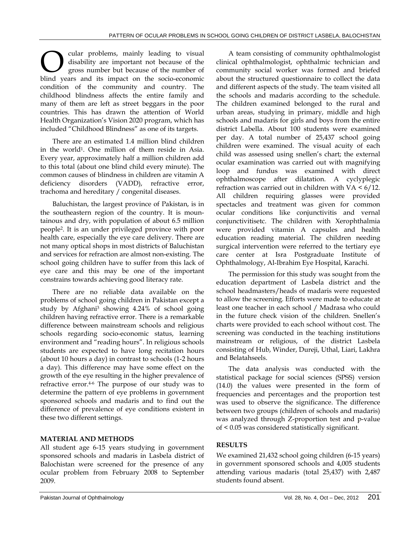cular problems, mainly leading to visual disability are important not because of the gross number but because of the number of **C** cular problems, mainly leading to visual disability are important not because of the gross number but because of the number of blind years and its impact on the socio-economic condition of the community and country. The childhood blindness affects the entire family and many of them are left as street beggars in the poor countries. This has drawn the attention of World Health Organization's Vision 2020 program, which has included "Childhood Blindness" as one of its targets.

There are an estimated 1.4 million blind children in the world1. One million of them reside in Asia. Every year, approximately half a million children add to this total (about one blind child every minute). The common causes of blindness in children are vitamin A deficiency disorders (VADD), refractive error, trachoma and hereditary / congenital diseases.

Baluchistan, the largest province of Pakistan, is in the southeastern region of the country. It is mountainous and dry, with population of about 6.5 million people2. It is an under privileged province with poor health care, especially the eye care delivery. There are not many optical shops in most districts of Baluchistan and services for refraction are almost non-existing. The school going children have to suffer from this lack of eye care and this may be one of the important constrains towards achieving good literacy rate.

There are no reliable data available on the problems of school going children in Pakistan except a study by Afghani3 showing 4.24% of school going children having refractive error. There is a remarkable difference between mainstream schools and religious schools regarding socio-economic status, learning environment and "reading hours". In religious schools students are expected to have long recitation hours (about 10 hours a day) in contrast to schools (1-2 hours a day). This difference may have some effect on the growth of the eye resulting in the higher prevalence of refractive error.<sup>4-6</sup> The purpose of our study was to determine the pattern of eye problems in government sponsored schools and madaris and to find out the difference of prevalence of eye conditions existent in these two different settings.

## **MATERIAL AND METHODS**

All student age 6-15 years studying in government sponsored schools and madaris in Lasbela district of Balochistan were screened for the presence of any ocular problem from February 2008 to September 2009.

A team consisting of community ophthalmologist clinical ophthalmologist, ophthalmic technician and community social worker was formed and briefed about the structured questionnaire to collect the data and different aspects of the study. The team visited all the schools and madaris according to the schedule. The children examined belonged to the rural and urban areas, studying in primary, middle and high schools and madaris for girls and boys from the entire district Labella. About 100 students were examined per day. A total number of 25,437 school going children were examined. The visual acuity of each child was assessed using snellen's chart; the external ocular examination was carried out with magnifying loop and fundus was examined with direct ophthalmoscope after dilatation. A cyclyplegic refraction was carried out in children with  $VA < 6/12$ . All children requiring glasses were provided spectacles and treatment was given for common ocular conditions like conjunctivitis and vernal conjunctivitisetc. The children with Xerophthalmia were provided vitamin A capsules and health education reading material. The children needing surgical intervention were referred to the tertiary eye care center at Isra Postgraduate Institute of Ophthalmology, Al-Ibrahim Eye Hospital, Karachi.

The permission for this study was sought from the education department of Lasbela district and the school headmasters/heads of madaris were requested to allow the screening. Efforts were made to educate at least one teacher in each school / Madrasa who could in the future check vision of the children. Snellen's charts were provided to each school without cost. The screening was conducted in the teaching institutions mainstream or religious, of the district Lasbela consisting of Hub, Winder, Dureji, Uthal, Liari, Lakhra and Belatahseels.

The data analysis was conducted with the statistical package for social sciences (SPSS) version (14.0) the values were presented in the form of frequencies and percentages and the proportion test was used to observe the significance. The difference between two groups (children of schools and madaris) was analyzed through Z-proportion test and p-value of < 0.05 was considered statistically significant.

## **RESULTS**

We examined 21,432 school going children (6-15 years) in government sponsored schools and 4,005 students attending various madaris (total 25,437) with 2,487 students found absent.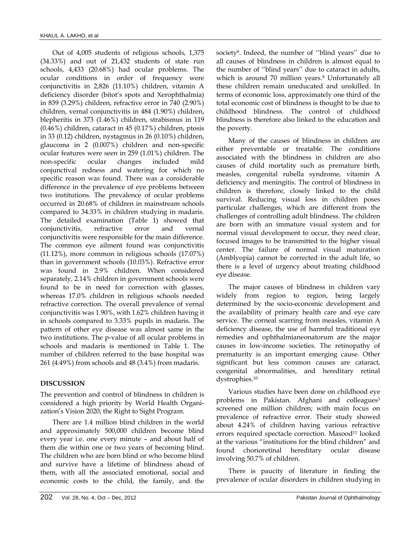Out of 4,005 students of religious schools, 1,375 (34.33%) and out of 21,432 students of state run schools, 4,433 (20.68%) had ocular problems. The ocular conditions in order of frequency were conjunctivitis in 2,826 (11.10%) children, vitamin A deficiency disorder (bitot's spots and Xerophthalmia) in 839 (3.29%) children, refractive error in 740 (2.90%) children, vernal conjunctivitis in 484 (1.90%) children, blepheritis in 373 (1.46%) children, strabismus in 119 (0.46%) children, cataract in 45 (0.17%) children, ptosis in 33 (0.12) children, nystagmus in 26 (0.10%) children, glaucoma in 2 (0.007%) children and non-specific ocular features were seen in 259 (1.01%) children. The non-specific ocular changes included mild conjunctival redness and watering for which no specific reason was found. There was a considerable difference in the prevalence of eye problems between two institutions. The prevalence of ocular problems occurred in 20.68% of children in mainstream schools compared to 34.33% in children studying in madaris. The detailed examination (Table 1) showed that conjunctivitis, refractive error and vernal conjunctivitis were responsible for the main difference. The common eye ailment found was conjunctivitis (11.12%), more common in religious schools (17.07%) than in government schools (10.03%). Refractive error was found in 2.9% children. When considered separately, 2.14% children in government schools were found to be in need for correction with glasses, whereas 17.0% children in religious schools needed refractive correction. The overall prevalence of vernal conjunctivitis was 1.90%, with 1.62% children having it in schools compared to 3.33% pupils in madaris. The pattern of other eye disease was almost same in the two institutions. The p-value of all ocular problems in schools and madaris is mentioned in Table 1. The number of children referred to the base hospital was 261 (4.49%) from schools and 48 (3.4%) from madaris.

#### **DISCUSSION**

The prevention and control of blindness in children is considered a high priority by World Health Organization's Vision 2020; the Right to Sight Program.

There are 1.4 million blind children in the world and approximately 500,000 children become blind every year i.e. one every minute – and about half of them die within one or two years of becoming blind. The children who are born blind or who become blind and survive have a lifetime of blindness ahead of them, with all the associated emotional, social and economic costs to the child, the family, and the society<sup>8</sup>. Indeed, the number of "blind years" due to all causes of blindness in children is almost equal to the number of ''blind years'' due to cataract in adults, which is around 70 million years.<sup>9</sup> Unfortunately all these children remain uneducated and unskilled. In terms of economic loss, approximately one third of the total economic cost of blindness is thought to be due to childhood blindness. The control of childhood blindness is therefore also linked to the education and the poverty.

Many of the causes of blindness in children are either preventable or treatable. The conditions associated with the blindness in children are also causes of child mortality such as premature birth, measles, congenital rubella syndrome, vitamin A deficiency and meningitis. The control of blindness in children is therefore, closely linked to the child survival. Reducing visual loss in children poses particular challenges, which are different from the challenges of controlling adult blindness. The children are born with an immature visual system and for normal visual development to occur, they need clear, focused images to be transmitted to the higher visual center. The failure of normal visual maturation (Amblyopia) cannot be corrected in the adult life, so there is a level of urgency about treating childhood eye disease.

The major causes of blindness in children vary widely from region to region, being largely determined by the socio-economic development and the availability of primary health care and eye care service. The corneal scarring from measles, vitamin A deficiency disease, the use of harmful traditional eye remedies and ophthalmianeonatorum are the major causes in low-income societies. The retinopathy of prematurity is an important emerging cause. Other significant but less common causes are cataract, congenital abnormalities, and hereditary retinal dystrophies.10

Various studies have been done on childhood eye problems in Pakistan. Afghani and colleagues<sup>3</sup> screened one million children; with main focus on prevalence of refractive error. Their study showed about 4.24% of children having various refractive errors required spectacle correction. Masood<sup>11</sup> looked at the various "institutions for the blind children" and found chorioretinal hereditary ocular disease involving 50.7% of children.

There is paucity of literature in finding the prevalence of ocular disorders in children studying in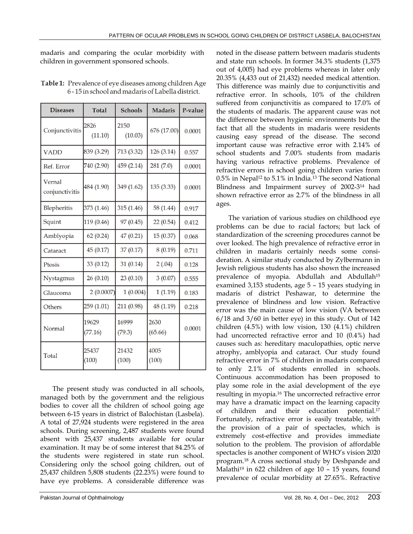madaris and comparing the ocular morbidity with children in government sponsored schools.

| <b>Diseases</b>          | <b>Total</b>     | <b>Schools</b>  | <b>Madaris</b>  | P-value |
|--------------------------|------------------|-----------------|-----------------|---------|
| Conjunctivitis           | 2826<br>(11.10)  | 2150<br>(10.03) | 676 (17.00)     | 0.0001  |
| <b>VADD</b>              | 839 (3.29)       | 713 (3.32)      | 126 (3.14)      | 0.557   |
| Ref. Error               | 740 (2.90)       | 459 (2.14)      | 281 (7.0)       | 0.0001  |
| Vernal<br>conjunctivitis | 484 (1.90)       | 349 (1.62)      | 135 (3.33)      | 0.0001  |
| Blepheritis              | 373 (1.46)       | 315 (1.46)      | 58 (1.44)       | 0.917   |
| Squint                   | 119 (0.46)       | 97 (0.45)       | 22 (0.54)       | 0.412   |
| Amblyopia                | 62(0.24)         | 47 (0.21)       | 15 (0.37)       | 0.068   |
| Cataract                 | 45 (0.17)        | 37 (0.17)       | 8(0.19)         | 0.711   |
| Ptosis                   | 33 (0.12)        | 31(0.14)        | 2(.04)          | 0.128   |
| Nystagmus                | 26 (0.10)        | 23 (0.10)       | 3(0.07)         | 0.555   |
| Glaucoma                 | 2(0.0007)        | 1(0.004)        | 1(1.19)         | 0.183   |
| Others                   | 259 (1.01)       | 211 (0.98)      | 48 (1.19)       | 0.218   |
| Normal                   | 19629<br>(77.16) | 16999<br>(79.3) | 2630<br>(65.66) | 0.0001  |
| Total                    | 25437<br>(100)   | 21432<br>(100)  | 4005<br>(100)   |         |

Table 1: Prevalence of eye diseases among children Age 6-15 in school and madaris of Labella district.

The present study was conducted in all schools, managed both by the government and the religious bodies to cover all the children of school going age between 6-15 years in district of Balochistan (Lasbela). A total of 27,924 students were registered in the area schools. During screening, 2,487 students were found absent with 25,437 students available for ocular examination. It may be of some interest that 84.25% of the students were registered in state run school. Considering only the school going children, out of 25,437 children 5,808 students (22.23%) were found to have eye problems. A considerable difference was noted in the disease pattern between madaris students and state run schools. In former 34.3% students (1,375 out of 4,005) had eye problems whereas in later only 20.35% (4,433 out of 21,432) needed medical attention. This difference was mainly due to conjunctivitis and refractive error. In schools, 10% of the children suffered from conjunctivitis as compared to 17.0% of the students of madaris. The apparent cause was not the difference between hygienic environments but the fact that all the students in madaris were residents causing easy spread of the disease. The second important cause was refractive error with 2.14% of school students and 7.00% students from madaris having various refractive problems. Prevalence of refractive errors in school going children varies from  $0.5\%$  in Nepal<sup>12</sup> to  $5.1\%$  in India.<sup>13</sup> The second National Blindness and Impairment survey of 2002-314 had shown refractive error as 2.7% of the blindness in all ages.

The variation of various studies on childhood eye problems can be due to racial factors; but lack of standardization of the screening procedures cannot be over looked. The high prevalence of refractive error in children in madaris certainly needs some consideration. A similar study conducted by Zylbermann in Jewish religious students has also shown the increased prevalence of myopia. Abdullah and Abdullah<sup>15</sup> examined 3,153 students, age 5 – 15 years studying in madaris of district Peshawar, to determine the prevalence of blindness and low vision. Refractive error was the main cause of low vision (VA between 6/18 and 3/60 in better eye) in this study. Out of 142 children (4.5%) with low vision, 130 (4.1%) children had uncorrected refractive error and 10 (0.4%) had causes such as: hereditary maculopathies, optic nerve atrophy, amblyopia and cataract. Our study found refractive error in 7% of children in madaris compared to only 2.1% of students enrolled in schools. Continuous accommodation has been proposed to play some role in the axial development of the eye resulting in myopia.16 The uncorrected refractive error may have a dramatic impact on the learning capacity of children and their education potential.17 Fortunately, refractive error is easily treatable, with the provision of a pair of spectacles, which is extremely cost-effective and provides immediate solution to the problem. The provision of affordable spectacles is another component of WHO's vision 2020 program.18 A cross sectional study by Deshpande and Malathi<sup>19</sup> in 622 children of age  $10 - 15$  years, found prevalence of ocular morbidity at 27.65%. Refractive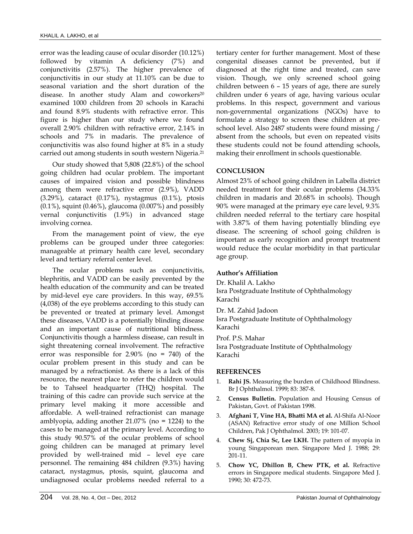error was the leading cause of ocular disorder (10.12%) followed by vitamin A deficiency (7%) and conjunctivitis (2.57%). The higher prevalence of conjunctivitis in our study at 11.10% can be due to seasonal variation and the short duration of the disease. In another study Alam and coworkers<sup>20</sup> examined 1000 children from 20 schools in Karachi and found 8.9% students with refractive error. This figure is higher than our study where we found overall 2.90% children with refractive error, 2.14% in schools and 7% in madaris. The prevalence of conjunctivitis was also found higher at 8% in a study carried out among students in south western Nigeria.21

Our study showed that 5,808 (22.8%) of the school going children had ocular problem. The important causes of impaired vision and possible blindness among them were refractive error (2.9%), VADD (3.29%), cataract (0.17%), nystagmus (0.1%), ptosis  $(0.1\%)$ , squint  $(0.46\%)$ , glaucoma  $(0.007\%)$  and possibly vernal conjunctivitis (1.9%) in advanced stage involving cornea.

From the management point of view, the eye problems can be grouped under three categories: manageable at primary health care level, secondary level and tertiary referral center level.

The ocular problems such as conjunctivitis, blephritis, and VADD can be easily prevented by the health education of the community and can be treated by mid-level eye care providers. In this way, 69.5% (4,038) of the eye problems according to this study can be prevented or treated at primary level. Amongst these diseases, VADD is a potentially blinding disease and an important cause of nutritional blindness. Conjunctivitis though a harmless disease, can result in sight threatening corneal involvement. The refractive error was responsible for 2.90% (no = 740) of the ocular problem present in this study and can be managed by a refractionist. As there is a lack of this resource, the nearest place to refer the children would be to Tahseel headquarter (THQ) hospital. The training of this cadre can provide such service at the primary level making it more accessible and affordable. A well-trained refractionist can manage amblyopia, adding another  $21.07\%$  (no = 1224) to the cases to be managed at the primary level. According to this study 90.57% of the ocular problems of school going children can be managed at primary level provided by well-trained mid – level eye care personnel. The remaining 484 children (9.3%) having cataract, nystagmus, ptosis, squint, glaucoma and undiagnosed ocular problems needed referral to a tertiary center for further management. Most of these congenital diseases cannot be prevented, but if diagnosed at the right time and treated, can save vision. Though, we only screened school going children between 6 – 15 years of age, there are surely children under 6 years of age, having various ocular problems. In this respect, government and various non-governmental organizations (NGOs) have to formulate a strategy to screen these children at preschool level. Also 2487 students were found missing / absent from the schools, but even on repeated visits these students could not be found attending schools, making their enrollment in schools questionable.

### **CONCLUSION**

Almost 23% of school going children in Labella district needed treatment for their ocular problems (34.33% children in madaris and 20.68% in schools). Though 90% were managed at the primary eye care level, 9.3% children needed referral to the tertiary care hospital with 3.87% of them having potentially blinding eye disease. The screening of school going children is important as early recognition and prompt treatment would reduce the ocular morbidity in that particular age group.

#### **Author's Affiliation**

Dr. Khalil A. Lakho Isra Postgraduate Institute of Ophthalmology Karachi

Dr. M. Zahid Jadoon

Isra Postgraduate Institute of Ophthalmology Karachi

Prof. P.S. Mahar

Isra Postgraduate Institute of Ophthalmology Karachi

#### **REFERENCES**

- 1. **Rahi JS.** Measuring the burden of Childhood Blindness. Br J Ophthalmol. 1999; 83: 387-8.
- 2. **Census Bulletin.** Population and Housing Census of Pakistan, Govt. of Pakistan 1998.
- 3. **Afghani T, Vine HA, Bhatti MA et al.** Al-Shifa Al-Noor (ASAN) Refractive error study of one Million School Children, Pak J Ophthalmol. 2003; 19: 101-07.
- 4. **Chew Sj, Chia Sc, Lee LKH.** The pattern of myopia in young Singaporean men. Singapore Med J. 1988; 29: 201-11.
- 5. **Chow YC, Dhillon B, Chew PTK, et al.** Refractive errors in Singapore medical students. Singapore Med J. 1990; 30: 472-73.